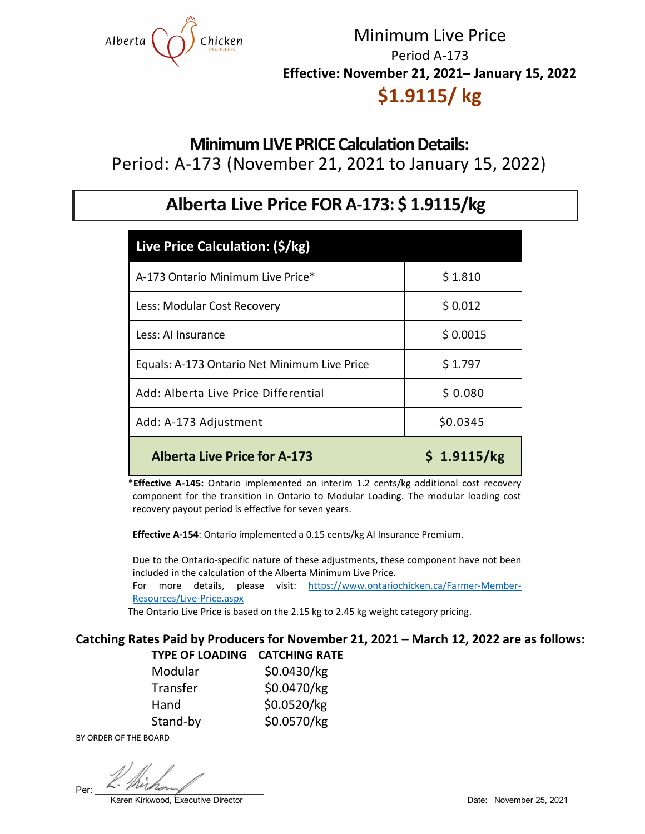

# Minimum Live Price Period A-173 **Effective: November 21, 2021– January 15, 2022**

# **\$1.9115/ kg**

**Minimum LIVE PRICE Calculation Details:** Period: A-173 (November 21, 2021 to January 15, 2022)

## **Alberta Live Price FOR A-173: \$ 1.9115/kg**

| Live Price Calculation: (\$/kg)              |             |
|----------------------------------------------|-------------|
| A-173 Ontario Minimum Live Price*            | \$1.810     |
| Less: Modular Cost Recovery                  | \$0.012     |
| Less: Al Insurance                           | \$0.0015    |
| Equals: A-173 Ontario Net Minimum Live Price | \$1.797     |
| Add: Alberta Live Price Differential         | \$0.080     |
| Add: A-173 Adjustment                        | \$0.0345    |
| <b>Alberta Live Price for A-173</b>          | \$1.9115/kg |

\***Effective A-145:** Ontario implemented an interim 1.2 cents/kg additional cost recovery component for the transition in Ontario to Modular Loading. The modular loading cost recovery payout period is effective for seven years.

 **Effective A-154**: Ontario implemented a 0.15 cents/kg AI Insurance Premium.

 Due to the Ontario-specific nature of these adjustments, these component have not been included in the calculation of the Alberta Minimum Live Price. For more details, please visit: [https://www.ontariochicken.ca/Farmer-Member-](https://www.ontariochicken.ca/Farmer-Member-Resources/Live-Price.aspx)[Resources/Live-Price.aspx](https://www.ontariochicken.ca/Farmer-Member-Resources/Live-Price.aspx)

The Ontario Live Price is based on the 2.15 kg to 2.45 kg weight category pricing.

### **Catching Rates Paid by Producers for November 21, 2021 – March 12, 2022 are as follows: TYPE OF LOADING CATCHING RATE**

| Modular  | \$0.0430/kg |
|----------|-------------|
| Transfer | \$0.0470/kg |
| Hand     | \$0.0520/kg |
| Stand-by | \$0.0570/kg |

BY ORDER OF THE BOARD

Per:  $\frac{1}{2}$   $\frac{1}{2}$   $\frac{1}{2}$   $\frac{1}{2}$ 

Karen Kirkwood, Executive Director **Director** Date: November 25, 2021